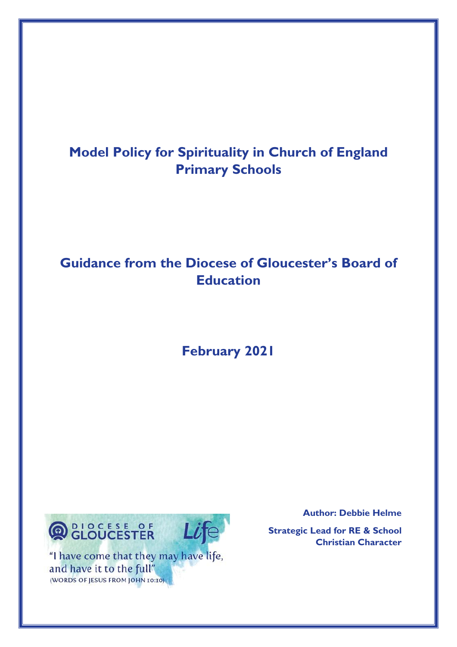# **Model Policy for Spirituality in Church of England Primary Schools**

# **Guidance from the Diocese of Gloucester's Board of Education**

**February 2021**



"I have come that they may have life, and have it to the full" (WORDS OF JESUS FROM JOHN 10:10)

 **Author: Debbie Helme**

**Strategic Lead for RE & School Christian Character**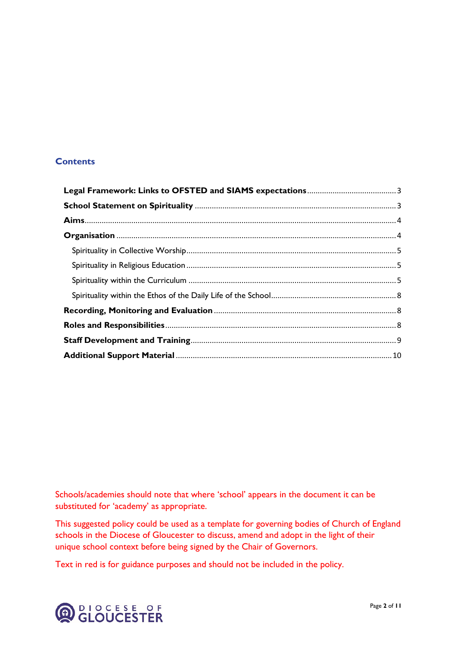## **Contents**

Schools/academies should note that where 'school' appears in the document it can be substituted for 'academy' as appropriate.

This suggested policy could be used as a template for governing bodies of Church of England schools in the Diocese of Gloucester to discuss, amend and adopt in the light of their unique school context before being signed by the Chair of Governors.

Text in red is for guidance purposes and should not be included in the policy.

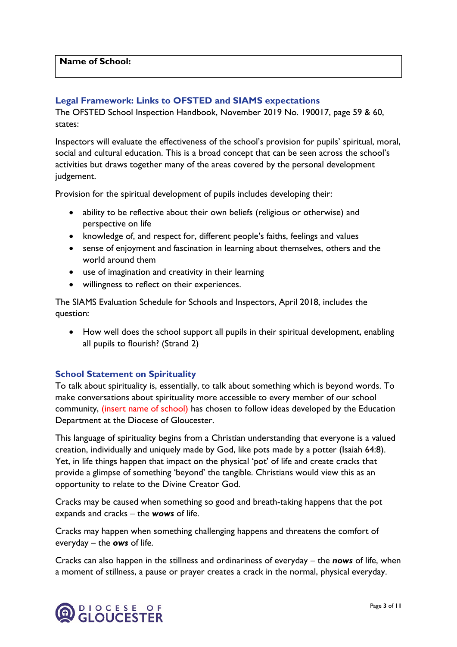## <span id="page-2-0"></span>**Legal Framework: Links to OFSTED and SIAMS expectations**

The OFSTED School Inspection Handbook, November 2019 No. 190017, page 59 & 60, states:

Inspectors will evaluate the effectiveness of the school's provision for pupils' spiritual, moral, social and cultural education. This is a broad concept that can be seen across the school's activities but draws together many of the areas covered by the personal development judgement.

Provision for the spiritual development of pupils includes developing their:

- ability to be reflective about their own beliefs (religious or otherwise) and perspective on life
- knowledge of, and respect for, different people's faiths, feelings and values
- sense of enjoyment and fascination in learning about themselves, others and the world around them
- use of imagination and creativity in their learning
- willingness to reflect on their experiences.

The SIAMS Evaluation Schedule for Schools and Inspectors, April 2018, includes the question:

• How well does the school support all pupils in their spiritual development, enabling all pupils to flourish? (Strand 2)

#### <span id="page-2-1"></span>**School Statement on Spirituality**

To talk about spirituality is, essentially, to talk about something which is beyond words. To make conversations about spirituality more accessible to every member of our school community, (insert name of school) has chosen to follow ideas developed by the Education Department at the Diocese of Gloucester.

This language of spirituality begins from a Christian understanding that everyone is a valued creation, individually and uniquely made by God, like pots made by a potter (Isaiah 64:8). Yet, in life things happen that impact on the physical 'pot' of life and create cracks that provide a glimpse of something 'beyond' the tangible. Christians would view this as an opportunity to relate to the Divine Creator God.

Cracks may be caused when something so good and breath-taking happens that the pot expands and cracks – the *wows* of life.

Cracks may happen when something challenging happens and threatens the comfort of everyday – the *ows* of life.

Cracks can also happen in the stillness and ordinariness of everyday – the *nows* of life, when a moment of stillness, a pause or prayer creates a crack in the normal, physical everyday.

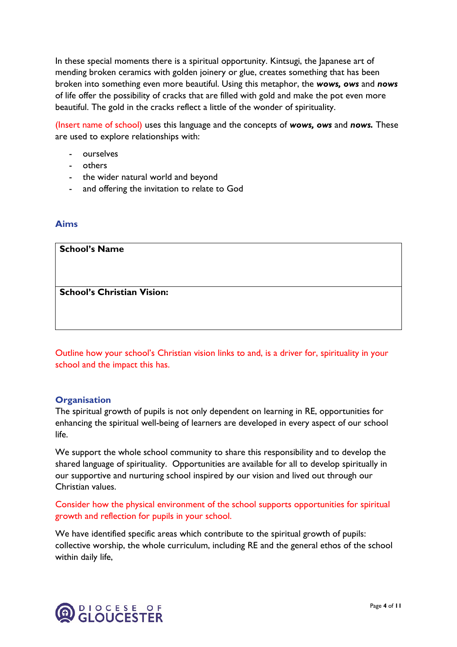In these special moments there is a spiritual opportunity. Kintsugi, the Japanese art of mending broken ceramics with golden joinery or glue, creates something that has been broken into something even more beautiful. Using this metaphor, the *wows, ows* and *nows*  of life offer the possibility of cracks that are filled with gold and make the pot even more beautiful. The gold in the cracks reflect a little of the wonder of spirituality.

(Insert name of school) uses this language and the concepts of *wows, ows* and *nows.* These are used to explore relationships with:

- ourselves
- others
- the wider natural world and beyond
- and offering the invitation to relate to God

## <span id="page-3-0"></span>**Aims**

| <b>School's Name</b>              |  |  |
|-----------------------------------|--|--|
|                                   |  |  |
| <b>School's Christian Vision:</b> |  |  |
|                                   |  |  |

Outline how your school's Christian vision links to and, is a driver for, spirituality in your school and the impact this has.

#### <span id="page-3-1"></span>**Organisation**

The spiritual growth of pupils is not only dependent on learning in RE, opportunities for enhancing the spiritual well-being of learners are developed in every aspect of our school life.

We support the whole school community to share this responsibility and to develop the shared language of spirituality. Opportunities are available for all to develop spiritually in our supportive and nurturing school inspired by our vision and lived out through our Christian values.

## Consider how the physical environment of the school supports opportunities for spiritual growth and reflection for pupils in your school.

We have identified specific areas which contribute to the spiritual growth of pupils: collective worship, the whole curriculum, including RE and the general ethos of the school within daily life,

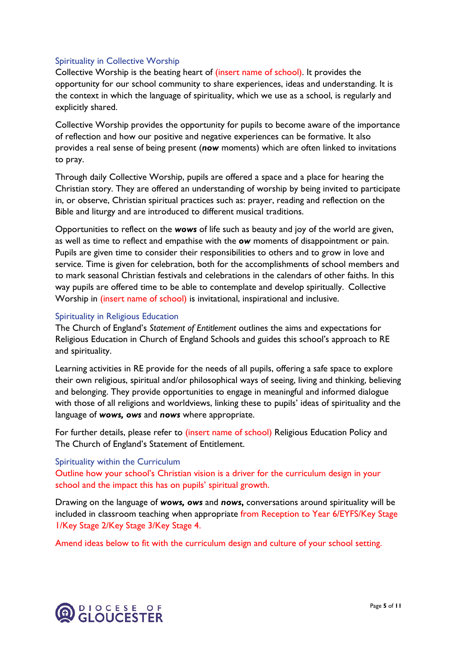### <span id="page-4-0"></span>Spirituality in Collective Worship

Collective Worship is the beating heart of (insert name of school). It provides the opportunity for our school community to share experiences, ideas and understanding. It is the context in which the language of spirituality, which we use as a school, is regularly and explicitly shared.

Collective Worship provides the opportunity for pupils to become aware of the importance of reflection and how our positive and negative experiences can be formative. It also provides a real sense of being present (*now* moments) which are often linked to invitations to pray.

Through daily Collective Worship, pupils are offered a space and a place for hearing the Christian story. They are offered an understanding of worship by being invited to participate in, or observe, Christian spiritual practices such as: prayer, reading and reflection on the Bible and liturgy and are introduced to different musical traditions.

Opportunities to reflect on the *wows* of life such as beauty and joy of the world are given, as well as time to reflect and empathise with the *ow* moments of disappointment or pain. Pupils are given time to consider their responsibilities to others and to grow in love and service. Time is given for celebration, both for the accomplishments of school members and to mark seasonal Christian festivals and celebrations in the calendars of other faiths. In this way pupils are offered time to be able to contemplate and develop spiritually. Collective Worship in (insert name of school) is invitational, inspirational and inclusive.

#### <span id="page-4-1"></span>Spirituality in Religious Education

The Church of England's *Statement of Entitlement* outlines the aims and expectations for Religious Education in Church of England Schools and guides this school's approach to RE and spirituality.

Learning activities in RE provide for the needs of all pupils, offering a safe space to explore their own religious, spiritual and/or philosophical ways of seeing, living and thinking, believing and belonging. They provide opportunities to engage in meaningful and informed dialogue with those of all religions and worldviews, linking these to pupils' ideas of spirituality and the language of *wows, ows* and *nows* where appropriate.

For further details, please refer to (insert name of school) Religious Education Policy and The Church of England's Statement of Entitlement.

#### <span id="page-4-2"></span>Spirituality within the Curriculum

Outline how your school's Christian vision is a driver for the curriculum design in your school and the impact this has on pupils' spiritual growth.

Drawing on the language of *wows, ows* and *nows***,** conversations around spirituality will be included in classroom teaching when appropriate from Reception to Year 6/EYFS/Key Stage 1/Key Stage 2/Key Stage 3/Key Stage 4.

Amend ideas below to fit with the curriculum design and culture of your school setting.

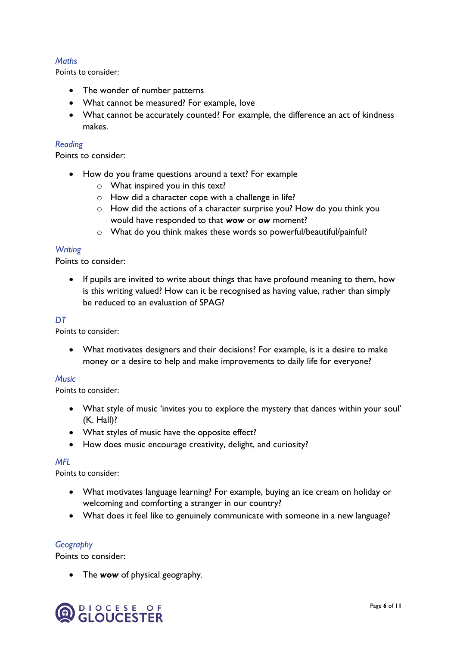## *Maths*

Points to consider:

- The wonder of number patterns
- What cannot be measured? For example, love
- What cannot be accurately counted? For example, the difference an act of kindness makes.

#### *Reading*

Points to consider:

- How do you frame questions around a text? For example
	- o What inspired you in this text?
	- o How did a character cope with a challenge in life?
	- o How did the actions of a character surprise you? How do you think you would have responded to that *wow* or *ow* moment?
	- o What do you think makes these words so powerful/beautiful/painful?

### *Writing*

Points to consider:

• If pupils are invited to write about things that have profound meaning to them, how is this writing valued? How can it be recognised as having value, rather than simply be reduced to an evaluation of SPAG?

### *DT*

Points to consider:

• What motivates designers and their decisions? For example, is it a desire to make money or a desire to help and make improvements to daily life for everyone?

#### *Music*

Points to consider:

- What style of music 'invites you to explore the mystery that dances within your soul' (K. Hall)?
- What styles of music have the opposite effect?
- How does music encourage creativity, delight, and curiosity?

#### *MFL*

Points to consider:

- What motivates language learning? For example, buying an ice cream on holiday or welcoming and comforting a stranger in our country?
- What does it feel like to genuinely communicate with someone in a new language?

#### *Geography*

Points to consider:

• The *wow* of physical geography.

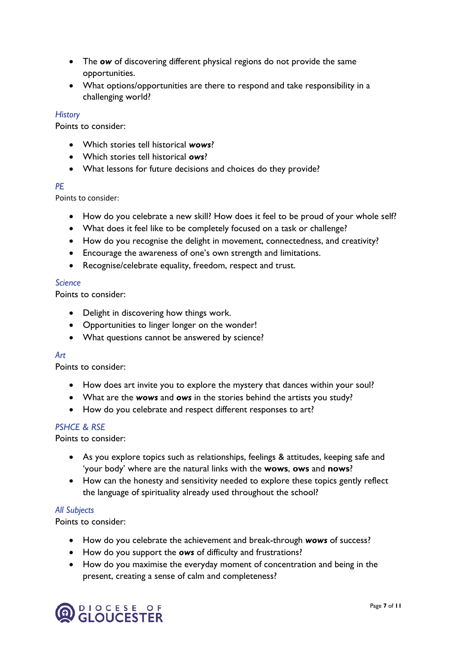- The *ow* of discovering different physical regions do not provide the same opportunities.
- What options/opportunities are there to respond and take responsibility in a challenging world?

#### *History*

Points to consider:

- Which stories tell historical *wows*?
- Which stories tell historical *ows*?
- What lessons for future decisions and choices do they provide?

#### *PE*

Points to consider:

- How do you celebrate a new skill? How does it feel to be proud of your whole self?
- What does it feel like to be completely focused on a task or challenge?
- How do you recognise the delight in movement, connectedness, and creativity?
- Encourage the awareness of one's own strength and limitations.
- Recognise/celebrate equality, freedom, respect and trust.

## *Science*

Points to consider:

- Delight in discovering how things work.
- Opportunities to linger longer on the wonder!
- What questions cannot be answered by science?

#### *Art*

Points to consider:

- How does art invite you to explore the mystery that dances within your soul?
- What are the *wows* and *ows* in the stories behind the artists you study?
- How do you celebrate and respect different responses to art?

#### *PSHCE & RSE*

Points to consider:

- As you explore topics such as relationships, feelings & attitudes, keeping safe and 'your body' where are the natural links with the **wows**, **ows** and **nows**?
- How can the honesty and sensitivity needed to explore these topics gently reflect the language of spirituality already used throughout the school?

## *All Subjects*

Points to consider:

- How do you celebrate the achievement and break-through *wows* of success?
- How do you support the *ows* of difficulty and frustrations?
- How do you maximise the everyday moment of concentration and being in the present, creating a sense of calm and completeness?

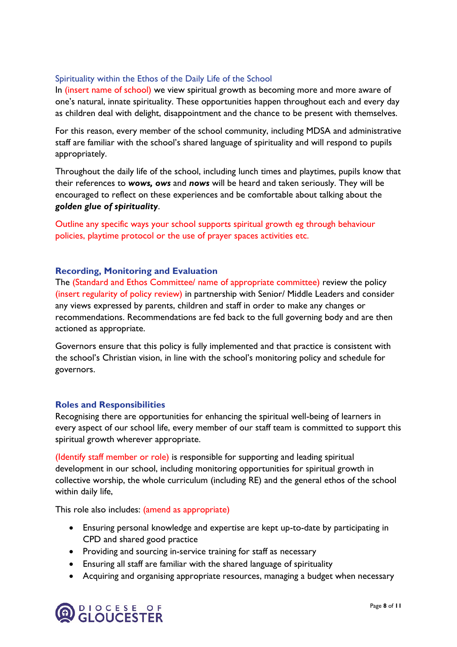## <span id="page-7-0"></span>Spirituality within the Ethos of the Daily Life of the School

In (insert name of school) we view spiritual growth as becoming more and more aware of one's natural, innate spirituality. These opportunities happen throughout each and every day as children deal with delight, disappointment and the chance to be present with themselves.

For this reason, every member of the school community, including MDSA and administrative staff are familiar with the school's shared language of spirituality and will respond to pupils appropriately.

Throughout the daily life of the school, including lunch times and playtimes, pupils know that their references to *wows, ows* and *nows* will be heard and taken seriously. They will be encouraged to reflect on these experiences and be comfortable about talking about the *golden glue of spirituality*.

Outline any specific ways your school supports spiritual growth eg through behaviour policies, playtime protocol or the use of prayer spaces activities etc.

#### <span id="page-7-1"></span>**Recording, Monitoring and Evaluation**

The (Standard and Ethos Committee/ name of appropriate committee) review the policy (insert regularity of policy review) in partnership with Senior/ Middle Leaders and consider any views expressed by parents, children and staff in order to make any changes or recommendations. Recommendations are fed back to the full governing body and are then actioned as appropriate.

Governors ensure that this policy is fully implemented and that practice is consistent with the school's Christian vision, in line with the school's monitoring policy and schedule for governors.

#### <span id="page-7-2"></span>**Roles and Responsibilities**

Recognising there are opportunities for enhancing the spiritual well-being of learners in every aspect of our school life, every member of our staff team is committed to support this spiritual growth wherever appropriate.

(Identify staff member or role) is responsible for supporting and leading spiritual development in our school, including monitoring opportunities for spiritual growth in collective worship, the whole curriculum (including RE) and the general ethos of the school within daily life,

This role also includes: (amend as appropriate)

- Ensuring personal knowledge and expertise are kept up-to-date by participating in CPD and shared good practice
- Providing and sourcing in-service training for staff as necessary
- Ensuring all staff are familiar with the shared language of spirituality
- Acquiring and organising appropriate resources, managing a budget when necessary

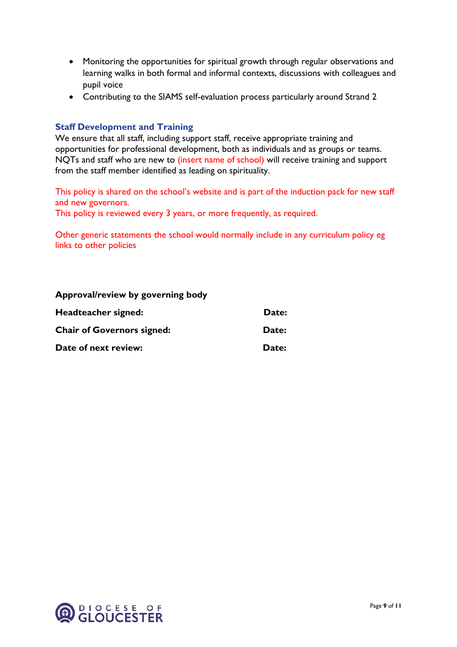- Monitoring the opportunities for spiritual growth through regular observations and learning walks in both formal and informal contexts, discussions with colleagues and pupil voice
- Contributing to the SIAMS self-evaluation process particularly around Strand 2

## <span id="page-8-0"></span>**Staff Development and Training**

We ensure that all staff, including support staff, receive appropriate training and opportunities for professional development, both as individuals and as groups or teams. NQTs and staff who are new to (insert name of school) will receive training and support from the staff member identified as leading on spirituality.

This policy is shared on the school's website and is part of the induction pack for new staff and new governors.

This policy is reviewed every 3 years, or more frequently, as required.

Other generic statements the school would normally include in any curriculum policy eg links to other policies

#### **Approval/review by governing body**

| Headteacher signed:               | Date: |
|-----------------------------------|-------|
| <b>Chair of Governors signed:</b> | Date: |
| Date of next review:              | Date: |

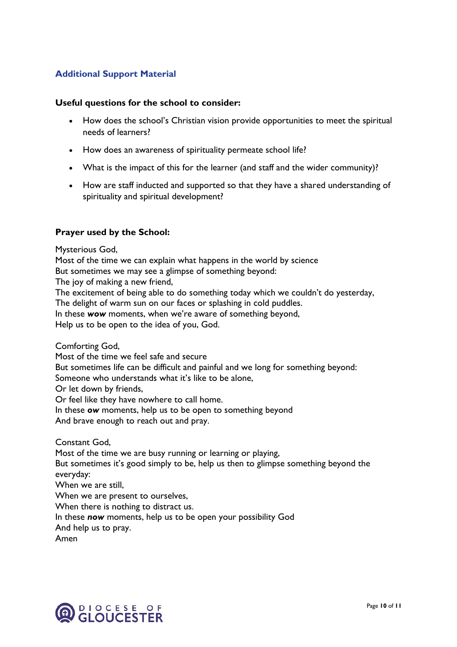## <span id="page-9-0"></span>**Additional Support Material**

#### **Useful questions for the school to consider:**

- How does the school's Christian vision provide opportunities to meet the spiritual needs of learners?
- How does an awareness of spirituality permeate school life?
- What is the impact of this for the learner (and staff and the wider community)?
- How are staff inducted and supported so that they have a shared understanding of spirituality and spiritual development?

#### **Prayer used by the School:**

Mysterious God, Most of the time we can explain what happens in the world by science But sometimes we may see a glimpse of something beyond: The joy of making a new friend. The excitement of being able to do something today which we couldn't do yesterday, The delight of warm sun on our faces or splashing in cold puddles. In these *wow* moments, when we're aware of something beyond, Help us to be open to the idea of you, God.

Comforting God, Most of the time we feel safe and secure But sometimes life can be difficult and painful and we long for something beyond: Someone who understands what it's like to be alone, Or let down by friends, Or feel like they have nowhere to call home. In these *ow* moments, help us to be open to something beyond And brave enough to reach out and pray. Constant God, Most of the time we are busy running or learning or playing, But sometimes it's good simply to be, help us then to glimpse something beyond the everyday: When we are still, When we are present to ourselves, When there is nothing to distract us.

In these *now* moments, help us to be open your possibility God

And help us to pray.

Amen